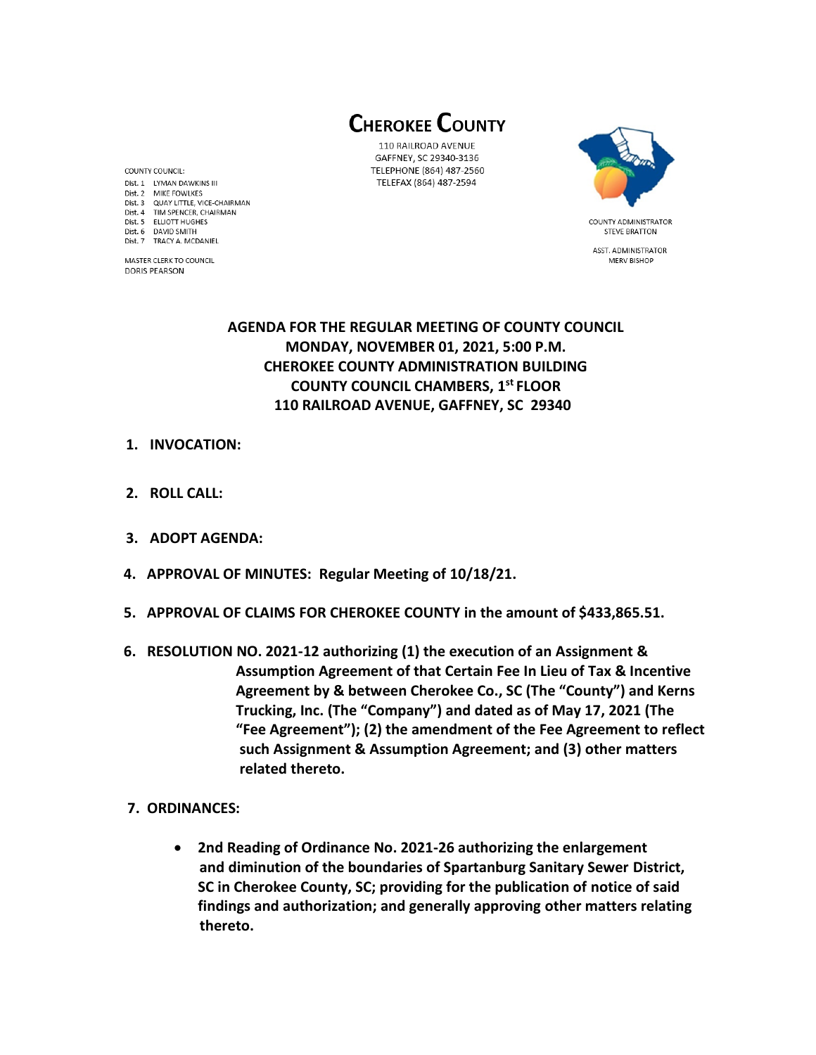**CHEROKEE COUNTY** 

110 RAILROAD AVENUE GAFFNEY, SC 29340-3136 TELEPHONE (864) 487-2560 TELEFAX (864) 487-2594



**STEVE BRATTON** ASST. ADMINISTRATOR MERV BISHOP

# **AGENDA FOR THE REGULAR MEETING OF COUNTY COUNCIL MONDAY, NOVEMBER 01, 2021, 5:00 P.M. CHEROKEE COUNTY ADMINISTRATION BUILDING COUNTY COUNCIL CHAMBERS, 1 st FLOOR 110 RAILROAD AVENUE, GAFFNEY, SC 29340**

- **1. INVOCATION:**
- **2. ROLL CALL:**
- **3. ADOPT AGENDA:**
- **4. APPROVAL OF MINUTES: Regular Meeting of 10/18/21.**
- **5. APPROVAL OF CLAIMS FOR CHEROKEE COUNTY in the amount of \$433,865.51.**
- **6. RESOLUTION NO. 2021-12 authorizing (1) the execution of an Assignment & Assumption Agreement of that Certain Fee In Lieu of Tax & Incentive Agreement by & between Cherokee Co., SC (The "County") and Kerns Trucking, Inc. (The "Company") and dated as of May 17, 2021 (The "Fee Agreement"); (2) the amendment of the Fee Agreement to reflect such Assignment & Assumption Agreement; and (3) other matters related thereto.**
- **7. ORDINANCES:** 
	- **2nd Reading of Ordinance No. 2021-26 authorizing the enlargement and diminution of the boundaries of Spartanburg Sanitary Sewer District, SC in Cherokee County, SC; providing for the publication of notice of said findings and authorization; and generally approving other matters relating thereto.**

COUNTY COUNCIL: Dist. 1 LYMAN DAWKINS III Dist. 2 MIKE FOWLKES Dist. 3 QUAY LITTLE, VICE-CHAIRMAN Dist. 4 TIM SPENCER, CHAIRMAN Dist. 5 ELLIOTT HUGHES Dist. 6 DAVID SMITH Dist. 7 TRACY A. MCDANIEL

MASTER CLERK TO COUNCIL **DORIS PEARSON**